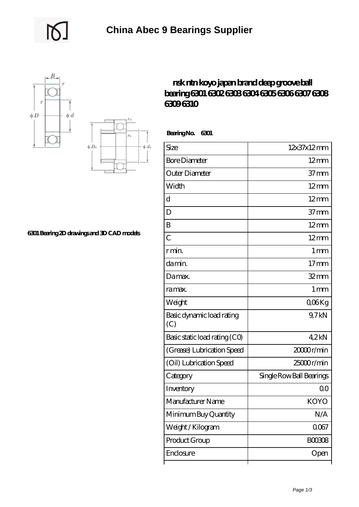



## **[6301 Bearing 2D drawings and 3D CAD models](https://uttorshuri.net/pic-526224.html)**

## **[nsk ntn koyo japan brand deep groove ball](https://uttorshuri.net/nsk-6306z-bearing/nsk-ntn-koyo-japan-brand-deep-groove-ball-bearing-6301-6302-6303-6304-6305-6306-6307-6308-6309-6310.html) [bearing 6301 6302 6303 6304 6305 6306 6307 6308](https://uttorshuri.net/nsk-6306z-bearing/nsk-ntn-koyo-japan-brand-deep-groove-ball-bearing-6301-6302-6303-6304-6305-6306-6307-6308-6309-6310.html) [6309 6310](https://uttorshuri.net/nsk-6306z-bearing/nsk-ntn-koyo-japan-brand-deep-groove-ball-bearing-6301-6302-6303-6304-6305-6306-6307-6308-6309-6310.html)**

 **Bearing No. 6301**

| Size                             | 12x37x12mm               |
|----------------------------------|--------------------------|
| <b>Bore Diameter</b>             | $12 \text{mm}$           |
| Outer Diameter                   | 37 <sub>mm</sub>         |
| Width                            | $12 \text{mm}$           |
| d                                | $12 \text{mm}$           |
| D                                | 37 <sub>mm</sub>         |
| B                                | $12 \text{mm}$           |
| $\overline{C}$                   | $12 \text{mm}$           |
| r min.                           | 1 <sub>mm</sub>          |
| da min.                          | 17 <sub>mm</sub>         |
| Damax.                           | $32 \text{mm}$           |
| ra max.                          | 1 <sub>mm</sub>          |
| Weight                           | QO <sub>6</sub> Kg       |
| Basic dynamic load rating<br>(C) | 9,7kN                    |
| Basic static load rating (CO)    | 4.2kN                    |
| (Grease) Lubrication Speed       | 20000r/min               |
| (Oil) Lubrication Speed          | 25000r/min               |
| Category                         | Single Row Ball Bearings |
| Inventory                        | 00                       |
| Manufacturer Name                | <b>KOYO</b>              |
| Minimum Buy Quantity             | N/A                      |
| Weight / Kilogram                | 0067                     |
| Product Group                    | <b>BOO308</b>            |
| Enclosure                        | Open                     |
|                                  |                          |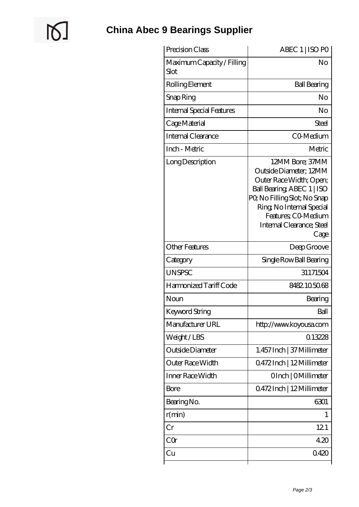$\mathbb{Q}$ 

| Precision Class                    | ABEC 1   ISO PO                                                                                                                                                                                                            |
|------------------------------------|----------------------------------------------------------------------------------------------------------------------------------------------------------------------------------------------------------------------------|
| Maximum Capacity / Filling<br>Slot | No                                                                                                                                                                                                                         |
| Rolling Element                    | <b>Ball Bearing</b>                                                                                                                                                                                                        |
| Snap Ring                          | No                                                                                                                                                                                                                         |
| <b>Internal Special Features</b>   | No                                                                                                                                                                                                                         |
| Cage Material                      | Steel                                                                                                                                                                                                                      |
| Internal Clearance                 | CO-Medium                                                                                                                                                                                                                  |
| Inch - Metric                      | Metric                                                                                                                                                                                                                     |
| Long Description                   | 12MM Bore; 37MM<br>Outside Diameter; 12MM<br>Outer Race Width; Open;<br>Ball Bearing, ABEC 1   ISO<br>PQ No Filling Slot; No Snap<br>Ring, No Internal Special<br>Features; CO-Medium<br>Internal Clearance; Steel<br>Cage |
| Other Features                     | Deep Groove                                                                                                                                                                                                                |
| Category                           | Single Row Ball Bearing                                                                                                                                                                                                    |
| <b>UNSPSC</b>                      | 31171504                                                                                                                                                                                                                   |
| Harmonized Tariff Code             | 8482105068                                                                                                                                                                                                                 |
| Noun                               | Bearing                                                                                                                                                                                                                    |
| Keyword String                     | Ball                                                                                                                                                                                                                       |
| Manufacturer URL                   | http://www.koyousa.com                                                                                                                                                                                                     |
| Weight/LBS                         | 0.13228                                                                                                                                                                                                                    |
| Outside Diameter                   | 1.457 Inch   37 Millimeter                                                                                                                                                                                                 |
| Outer Race Width                   | Q472Inch   12Millimeter                                                                                                                                                                                                    |
| Inner Race Width                   | OInch   OMillimeter                                                                                                                                                                                                        |
| Bore                               | Q472Inch   12Millimeter                                                                                                                                                                                                    |
| Bearing No.                        | 6301                                                                                                                                                                                                                       |
| r(min)                             | 1                                                                                                                                                                                                                          |
| Cr                                 | 121                                                                                                                                                                                                                        |
| CQr                                | 420                                                                                                                                                                                                                        |
| Cu                                 | 0420                                                                                                                                                                                                                       |
|                                    |                                                                                                                                                                                                                            |